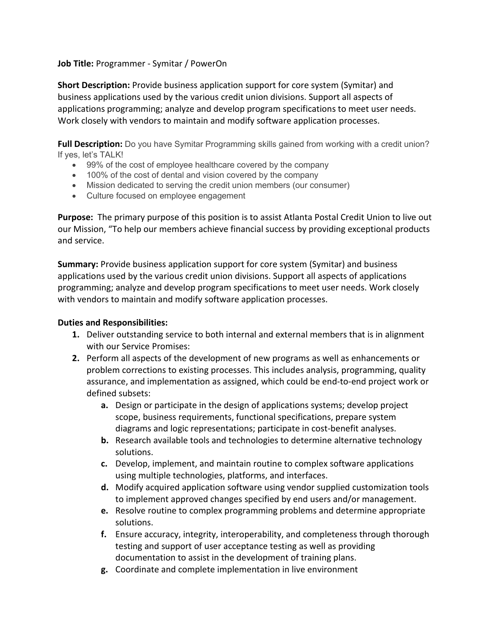## **Job Title:** Programmer - Symitar / PowerOn

**Short Description:** Provide business application support for core system (Symitar) and business applications used by the various credit union divisions. Support all aspects of applications programming; analyze and develop program specifications to meet user needs. Work closely with vendors to maintain and modify software application processes.

**Full Description:** Do you have Symitar Programming skills gained from working with a credit union? If yes, let's TALK!

- 99% of the cost of employee healthcare covered by the company
- 100% of the cost of dental and vision covered by the company
- Mission dedicated to serving the credit union members (our consumer)
- Culture focused on employee engagement

**Purpose:** The primary purpose of this position is to assist Atlanta Postal Credit Union to live out our Mission, "To help our members achieve financial success by providing exceptional products and service.

**Summary:** Provide business application support for core system (Symitar) and business applications used by the various credit union divisions. Support all aspects of applications programming; analyze and develop program specifications to meet user needs. Work closely with vendors to maintain and modify software application processes.

## **Duties and Responsibilities:**

- **1.** Deliver outstanding service to both internal and external members that is in alignment with our Service Promises:
- **2.** Perform all aspects of the development of new programs as well as enhancements or problem corrections to existing processes. This includes analysis, programming, quality assurance, and implementation as assigned, which could be end-to-end project work or defined subsets:
	- **a.** Design or participate in the design of applications systems; develop project scope, business requirements, functional specifications, prepare system diagrams and logic representations; participate in cost-benefit analyses.
	- **b.** Research available tools and technologies to determine alternative technology solutions.
	- **c.** Develop, implement, and maintain routine to complex software applications using multiple technologies, platforms, and interfaces.
	- **d.** Modify acquired application software using vendor supplied customization tools to implement approved changes specified by end users and/or management.
	- **e.** Resolve routine to complex programming problems and determine appropriate solutions.
	- **f.** Ensure accuracy, integrity, interoperability, and completeness through thorough testing and support of user acceptance testing as well as providing documentation to assist in the development of training plans.
	- **g.** Coordinate and complete implementation in live environment